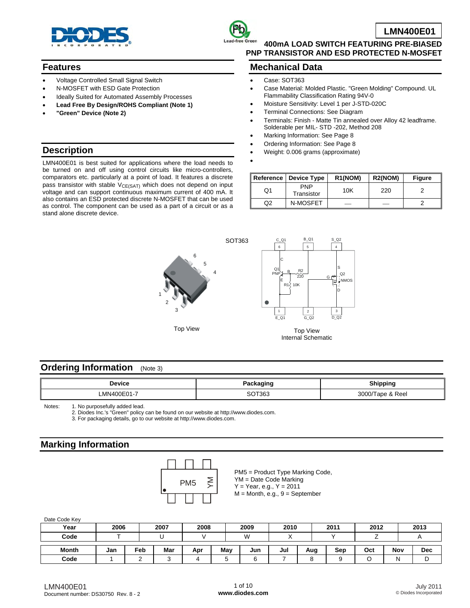



**400mA LOAD SWITCH FEATURING PRE-BIASED PNP TRANSISTOR AND ESD PROTECTED N-MOSFET** 

#### **Features**

- Voltage Controlled Small Signal Switch
- N-MOSFET with ESD Gate Protection
- Ideally Suited for Automated Assembly Processes
- **Lead Free By Design/ROHS Compliant (Note 1)**
- **"Green" Device (Note 2)**

### **Mechanical Data**

- Case: SOT363
- Case Material: Molded Plastic. "Green Molding" Compound. UL Flammability Classification Rating 94V-0
- Moisture Sensitivity: Level 1 per J-STD-020C
- Terminal Connections: See Diagram
- Terminals: Finish Matte Tin annealed over Alloy 42 leadframe. Solderable per MIL- STD -202, Method 208
- Marking Information: See Page 8
- Ordering Information: See Page 8
- Weight: 0.006 grams (approximate)
- •

LMN400E01 is best suited for applications where the load needs to be turned on and off using control circuits like micro-controllers, comparators etc. particularly at a point of load. It features a discrete pass transistor with stable V<sub>CE(SAT)</sub> which does not depend on input voltage and can support continuous maximum current of 400 mA. It also contains an ESD protected discrete N-MOSFET that can be used as control. The component can be used as a part of a circuit or as a stand alone discrete device.

|    | Reference   Device Type  | R <sub>1</sub> (NOM) | R <sub>2</sub> (NOM) | <b>Figure</b> |
|----|--------------------------|----------------------|----------------------|---------------|
| O1 | <b>PNP</b><br>Transistor | 10K                  | 220                  |               |
| Q2 | N-MOSFET                 | --                   |                      |               |



Top View



Top View Internal Schematic

### **Ordering Information** (Note 3)

| <b>Device</b>           | kaging<br>'auna<br>.<br>--           | Shipping                                    |
|-------------------------|--------------------------------------|---------------------------------------------|
| _MN400E01- <sup>_</sup> | $\sim$ $\sim$ $\sim$ $\sim$<br>' 36. | $0.000 \pi$<br>Reel<br>---<br>יטטע<br>ı avç |

Notes: 1. No purposefully added lead.

2. Diodes Inc.'s "Green" policy can be found on our website at [http://www.diodes.com.](http://www.diodes.com)

3. For packaging details, go to our website at [http://www.diodes.com.](http://www.diodes.com)

# **Marking Information**



PM5 = Product Type Marking Code, YM = Date Code Marking  $Y = Year, e.g., Y = 2011$ 

 $M =$  Month, e.g.,  $9 =$  September

| Date Code Key |      |     |      |      |     |      |      |     |      |      |     |            |
|---------------|------|-----|------|------|-----|------|------|-----|------|------|-----|------------|
| Year          | 2006 |     | 2007 | 2008 |     | 2009 | 2010 |     | 2011 | 2012 |     | 2013       |
| Code          |      |     |      |      |     | W    |      |     |      |      |     |            |
| Month         | Jan  | Feb | Mar  | Apr  | May | Jun  | Jul  | Aug | Sep  | Oct  | Nov | <b>Dec</b> |
| Code          |      |     |      |      | ື   |      |      |     | a    |      | N   | υ          |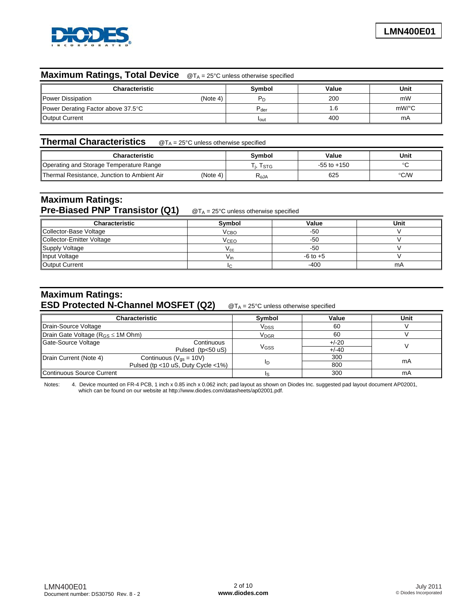

## **Maximum Ratings, Total Device** @TA = 25°C unless otherwise specified

| <b>Characteristic</b>              | Symbol           | Value | Unit  |
|------------------------------------|------------------|-------|-------|
| Power Dissipation<br>(Note 4)      |                  | 200   | mW    |
| Power Derating Factor above 37.5°C | $P_{\text{der}}$ |       | mW/°C |
| Output Current                     | <b>l</b> out     | 400   | mA    |

## **Thermal Characteristics** @TA = 25°C unless otherwise specified

| Characteristic                              |          | Svmbol    | Value           | Unit |
|---------------------------------------------|----------|-----------|-----------------|------|
| Operating and Storage Temperature Range     |          | l stg     | $-55$ to $+150$ |      |
| Thermal Resistance, Junction to Ambient Air | (Note 4) | $R_{AJA}$ | 625             | °C/W |

## **Maximum Ratings: Pre-Biased PNP Transistor (Q1)** @T<sub>A</sub> = 25°C unless otherwise specified

| <b>Characteristic</b>     | Svmbol                 | Value        | Unit |
|---------------------------|------------------------|--------------|------|
| Collector-Base Voltage    | V <sub>CBO</sub>       | -50          |      |
| Collector-Emitter Voltage | <b>V<sub>CEO</sub></b> | -50          |      |
| Supply Voltage            | V cc                   | -50          |      |
| Input Voltage             | V <sub>in</sub>        | $-6$ to $+5$ |      |
| Output Current            |                        | $-400$       | mA   |

## **Maximum Ratings: ESD Protected N-Channel MOSFET (Q2)** @TA = 25°C unless otherwise specified

|                                            | Characteristic               | Symbol                 | Value   | Unit |
|--------------------------------------------|------------------------------|------------------------|---------|------|
| Drain-Source Voltage                       |                              | V <sub>DSS</sub>       | 60      |      |
| Drain Gate Voltage ( $R_{GS} \leq 1M$ Ohm) |                              | <b>V<sub>DGR</sub></b> | 60      |      |
| Gate-Source Voltage                        | Continuous                   |                        | $+/-20$ |      |
|                                            | Pulsed (tp<50 uS)            | V <sub>GSS</sub>       | $+/-40$ |      |
| Drain Current (Note 4)                     | Continuous ( $V_{gs}$ = 10V) |                        | 300     |      |
| Pulsed (tp <10 uS, Duty Cycle <1%)         |                              |                        | 800     | mA   |
| Continuous Source Current                  |                              |                        | 300     | mA   |

Notes: 4. Device mounted on FR-4 PCB, 1 inch x 0.85 inch x 0.062 inch; pad layout as shown on Diodes Inc. suggested pad layout document AP02001, which can be found on our website at [http://www.diodes.com/datasheets/ap02001.pdf.](http://www.diodes.com/datasheets/ap02001.pdf)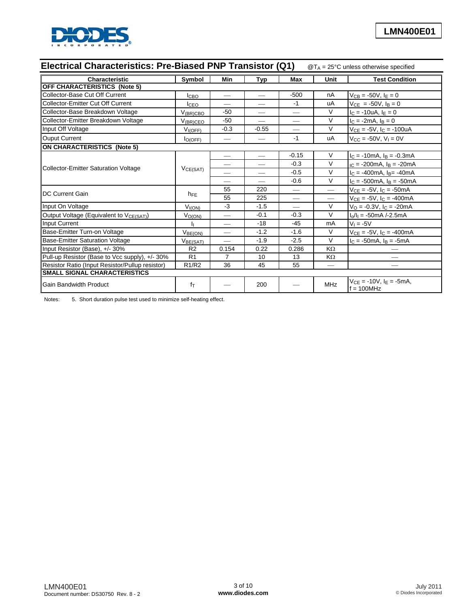

| Electrical Characteristics: Pre-Biased PNP Transistor (Q1)<br>$\mathcal{Q}T_A = 25^{\circ}C$ unless otherwise specified |                                |                                 |                          |                                 |                          |                                                   |
|-------------------------------------------------------------------------------------------------------------------------|--------------------------------|---------------------------------|--------------------------|---------------------------------|--------------------------|---------------------------------------------------|
| <b>Characteristic</b>                                                                                                   | Symbol                         | Min                             | <b>Typ</b>               | <b>Max</b>                      | Unit                     | <b>Test Condition</b>                             |
| OFF CHARACTERISTICS (Note 5)                                                                                            |                                |                                 |                          |                                 |                          |                                                   |
| Collector-Base Cut Off Current                                                                                          | <b>I</b> CBO                   |                                 | $\overline{\phantom{0}}$ | $-500$                          | nA                       | $V_{CB} = -50V, IE = 0$                           |
| Collector-Emitter Cut Off Current                                                                                       | <b>I</b> CEO                   | $\overline{\phantom{0}}$        | $\overline{\phantom{0}}$ | $-1$                            | uA                       | $V_{CE}$ = -50V, $I_B$ = 0                        |
| Collector-Base Breakdown Voltage                                                                                        | $V_{(BR)CBO}$                  | $-50$                           |                          |                                 | V                        | $I_C = -10uA, I_E = 0$                            |
| Collector-Emitter Breakdown Voltage                                                                                     | $V_{(BR)CEO}$                  | -50                             |                          |                                 | V                        | $I_C = -2mA, I_B = 0$                             |
| Input Off Voltage                                                                                                       | $V_{I(OFF)}$                   | $-0.3$                          | $-0.55$                  |                                 | $\vee$                   | $V_{CE} = -5V$ , $I_C = -100uA$                   |
| <b>Ouput Current</b>                                                                                                    | $I_{O(OFF)}$                   | $\overbrace{\qquad \qquad }^{}$ |                          | $-1$                            | uA                       | $V_{CC} = -50V, V_1 = 0V$                         |
| <b>ON CHARACTERISTICS (Note 5)</b>                                                                                      |                                |                                 |                          |                                 |                          |                                                   |
|                                                                                                                         | VCE(SAT)                       | $\qquad \qquad -$               |                          | $-0.15$                         | V                        | $I_C = -10mA$ , $I_B = -0.3mA$                    |
|                                                                                                                         |                                |                                 |                          | $-0.3$                          | $\vee$                   | $_{IC}$ = -200mA, $I_B$ = -20mA                   |
| Collector-Emitter Saturation Voltage                                                                                    |                                |                                 | $\overline{\phantom{0}}$ | $-0.5$                          | V                        | $I_C = -400mA$ , $I_B = -40mA$                    |
|                                                                                                                         |                                | $\overline{\phantom{0}}$        | $\overline{\phantom{0}}$ | $-0.6$                          | $\vee$                   | $I_C = -500 \text{mA}$ , $I_B = -50 \text{mA}$    |
| <b>IDC Current Gain</b>                                                                                                 | $h_{FE}$                       | 55                              | 220                      | $\hspace{0.1mm}-\hspace{0.1mm}$ | $\overline{\phantom{0}}$ | $V_{CE} = -5V$ , $I_C = -50mA$                    |
|                                                                                                                         |                                | 55                              | 225                      |                                 |                          | $V_{CE} = -5V$ , $I_C = -400mA$                   |
| Input On Voltage                                                                                                        | V <sub>I(ON)</sub>             | $-3$                            | $-1.5$                   |                                 | $\vee$                   | $V_O = -0.3V$ , $I_C = -20mA$                     |
| Output Voltage (Equivalent to V <sub>CE(SAT)</sub> )                                                                    | $V_{O(ON)}$                    |                                 | $-0.1$                   | $-0.3$                          | $\vee$                   | $I_0/I_1 = -50mA$ /-2.5mA                         |
| <b>Input Current</b>                                                                                                    |                                | $\overbrace{\phantom{aaaaa}}$   | $-18$                    | $-45$                           | mA                       | $V_1 = -5V$                                       |
| Base-Emitter Turn-on Voltage                                                                                            | $V_{BE(ON)}$                   |                                 | $-1.2$                   | $-1.6$                          | V                        | $V_{CE} = -5V$ , $I_C = -400mA$                   |
| <b>Base-Emitter Saturation Voltage</b>                                                                                  | $V_{BE(SAT)}$                  |                                 | $-1.9$                   | $-2.5$                          | V                        | $I_C = -50mA, I_B = -5mA$                         |
| Input Resistor (Base), +/- 30%                                                                                          | R <sub>2</sub>                 | 0.154                           | 0.22                     | 0.286                           | $K\Omega$                |                                                   |
| Pull-up Resistor (Base to Vcc supply), +/- 30%                                                                          | R <sub>1</sub>                 | $\overline{7}$                  | 10                       | 13                              | KΩ                       |                                                   |
| Resistor Ratio (Input Resistor/Pullup resistor)                                                                         | R <sub>1</sub> /R <sub>2</sub> | 36                              | 45                       | 55                              |                          |                                                   |
| <b>SMALL SIGNAL CHARACTERISTICS</b>                                                                                     |                                |                                 |                          |                                 |                          |                                                   |
| <b>Gain Bandwidth Product</b>                                                                                           | $f_T$                          |                                 | 200                      |                                 | <b>MHz</b>               | $V_{CE} = -10V$ , $I_E = -5mA$ ,<br>$f = 100$ MHz |

Notes: 5. Short duration pulse test used to minimize self-heating effect.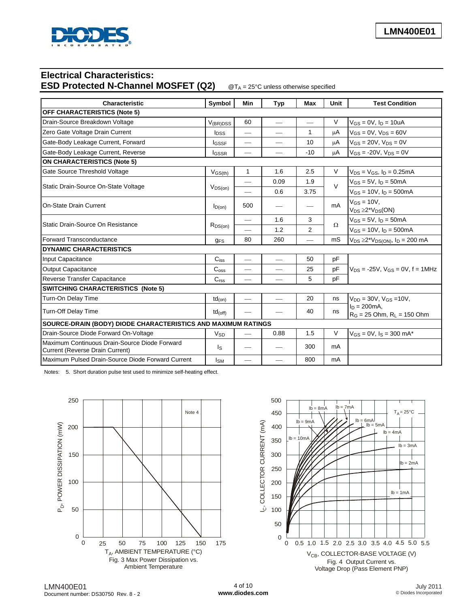

# **Electrical Characteristics: ESD Protected N-Channel MOSFET (Q2)** @TA = 25°C unless otherwise specified

| Characteristic                                                                   | Symbol                                                        | Min                      | Typ                      | Max                      | Unit     | <b>Test Condition</b>                                    |  |
|----------------------------------------------------------------------------------|---------------------------------------------------------------|--------------------------|--------------------------|--------------------------|----------|----------------------------------------------------------|--|
| <b>OFF CHARACTERISTICS (Note 5)</b>                                              |                                                               |                          |                          |                          |          |                                                          |  |
| Drain-Source Breakdown Voltage                                                   | $V_{(BR)DSS}$                                                 | 60                       |                          | $\overline{\phantom{0}}$ | V        | $V_{GS} = 0V$ , $I_D = 10uA$                             |  |
| Zero Gate Voltage Drain Current                                                  | <b>l</b> <sub>DSS</sub>                                       |                          |                          | $\mathbf{1}$             | цA       | $V_{GS} = 0V$ , $V_{DS} = 60V$                           |  |
| Gate-Body Leakage Current, Forward                                               | lgssf                                                         |                          |                          | 10                       | μA       | $V_{GS}$ = 20V, $V_{DS}$ = 0V                            |  |
| Gate-Body Leakage Current, Reverse                                               | <b>I</b> GSSR                                                 |                          | $\overline{\phantom{0}}$ | $-10$                    | μA       | $V_{GS}$ = -20V, $V_{DS}$ = 0V                           |  |
| <b>ON CHARACTERISTICS (Note 5)</b>                                               |                                                               |                          |                          |                          |          |                                                          |  |
| Gate Source Threshold Voltage                                                    | $V_{GS(th)}$                                                  | 1                        | 1.6                      | 2.5                      | $\vee$   | $V_{DS} = V_{GS}$ , $I_D = 0.25mA$                       |  |
|                                                                                  |                                                               |                          | 0.09                     | 1.9                      | $\vee$   | $V_{GS} = 5V$ , $I_D = 50mA$                             |  |
| Static Drain-Source On-State Voltage                                             | VDS(0n)                                                       |                          | 0.6                      | 3.75                     |          | $V_{GS} = 10V$ , $I_D = 500mA$                           |  |
| <b>On-State Drain Current</b>                                                    | $I_{D(0n)}$                                                   | 500                      |                          |                          | mA       | $V_{GS} = 10V$ ,<br>$V_{DS} \ge 2*V_{DS}(ON)$            |  |
|                                                                                  | $R_{DS(on)}$                                                  | $\overline{\phantom{0}}$ | 1.6                      | 3                        |          | $V_{GS} = 5V$ , $I_D = 50mA$                             |  |
| Static Drain-Source On Resistance                                                |                                                               |                          | 1.2                      | 2                        | $\Omega$ | $V_{GS} = 10V$ , $I_D = 500mA$                           |  |
| <b>Forward Transconductance</b>                                                  | <b>g<sub>FS</sub></b>                                         | 80                       | 260                      |                          | mS       | $V_{DS} \ge 2^{\ast}V_{DS(ON)}$ , $I_D = 200 \text{ mA}$ |  |
| <b>DYNAMIC CHARACTERISTICS</b>                                                   |                                                               |                          |                          |                          |          |                                                          |  |
| Input Capacitance                                                                | $C_{iss}$                                                     | $\overline{\phantom{0}}$ | $\overline{\phantom{0}}$ | 50                       | pF       |                                                          |  |
| <b>Output Capacitance</b>                                                        | $C_{\rm oss}$                                                 |                          |                          | 25                       | pF       | $V_{DS}$ = -25V, $V_{GS}$ = 0V, f = 1MHz                 |  |
| Reverse Transfer Capacitance                                                     | C <sub>rss</sub>                                              |                          |                          | 5                        | pF       |                                                          |  |
| <b>SWITCHING CHARACTERISTICS (Note 5)</b>                                        |                                                               |                          |                          |                          |          |                                                          |  |
| Turn-On Delay Time                                                               | $td_{(on)}$                                                   | $\overline{\phantom{0}}$ | $\qquad \qquad$          | 20                       | ns       | $V_{DD} = 30V$ , $V_{GS} = 10V$ ,                        |  |
| Turn-Off Delay Time                                                              | $td_{(off)}$                                                  |                          |                          | 40                       | ns       | $I_D = 200mA$ ,<br>$R_G = 25$ Ohm, $R_L = 150$ Ohm       |  |
|                                                                                  | SOURCE-DRAIN (BODY) DIODE CHARACTERISTICS AND MAXIMUM RATINGS |                          |                          |                          |          |                                                          |  |
| Drain-Source Diode Forward On-Voltage                                            | $V_{SD}$                                                      |                          | 0.88                     | 1.5                      | V        | $V_{GS} = 0V$ , $I_S = 300$ mA*                          |  |
| Maximum Continuous Drain-Source Diode Forward<br>Current (Reverse Drain Current) | l <sub>S</sub>                                                |                          |                          | 300                      | mA       |                                                          |  |
| Maximum Pulsed Drain-Source Diode Forward Current                                | Isм                                                           |                          |                          | 800                      | mA       |                                                          |  |

Notes: 5. Short duration pulse test used to minimize self-heating effect.



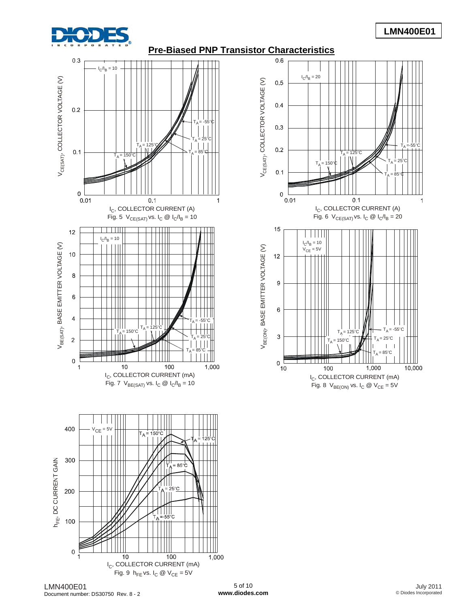

# **LMN400E01**

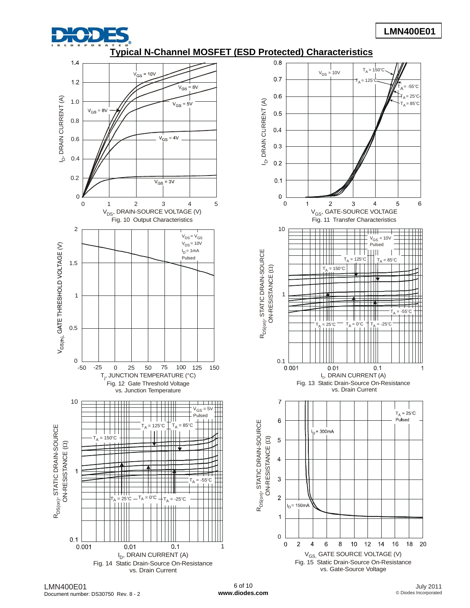

# **LMN400E01**

**Typical N-Channel MOSFET (ESD Protected) Characteristics**



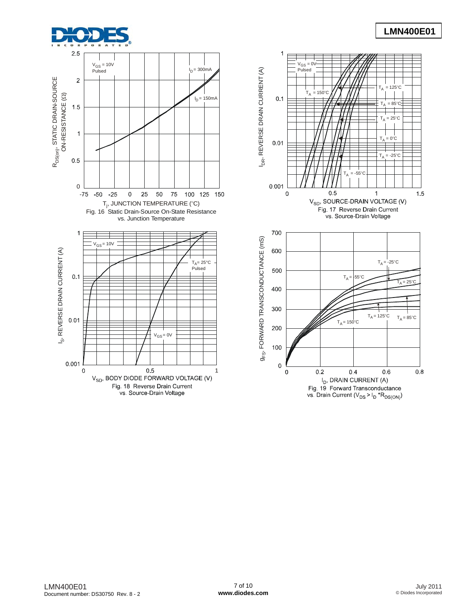# **LMN400E01**





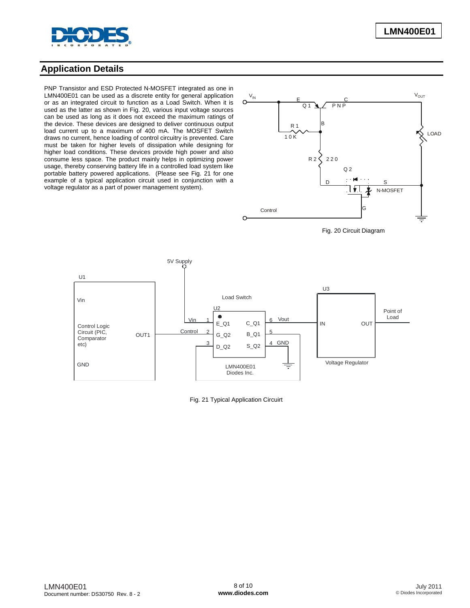

## **Application Details**

PNP Transistor and ESD Protected N-MOSFET integrated as one in LMN400E01 can be used as a discrete entity for general application or as an integrated circuit to function as a Load Switch. When it is used as the latter as shown in Fig. 20, various input voltage sources can be used as long as it does not exceed the maximum ratings of the device. These devices are designed to deliver continuous output load current up to a maximum of 400 mA. The MOSFET Switch draws no current, hence loading of control circuitry is prevented. Care must be taken for higher levels of dissipation while designing for higher load conditions. These devices provide high power and also consume less space. The product mainly helps in optimizing power usage, thereby conserving battery life in a controlled load system like portable battery powered applications. (Please see Fig. 21 for one example of a typical application circuit used in conjunction with a voltage regulator as a part of power management system).



Fig. 20 Circuit Diagram



Fig. 21 Typical Application Circuirt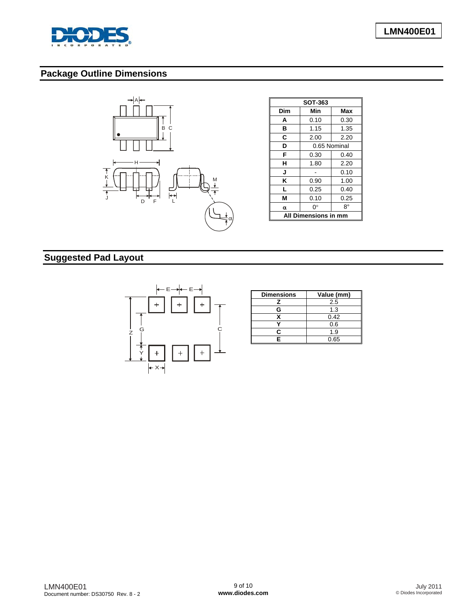

# **Package Outline Dimensions**



| SOT-363 |                      |      |  |  |  |
|---------|----------------------|------|--|--|--|
| Dim     | Min                  | Max  |  |  |  |
| A       | 0.10                 | 0.30 |  |  |  |
| в       | 1.15<br>1.35         |      |  |  |  |
| С       | 2.00                 | 2.20 |  |  |  |
| D       | 0.65 Nominal         |      |  |  |  |
| F       | 0.30                 | 0.40 |  |  |  |
| н       | 1.80                 | 2.20 |  |  |  |
| J       | 0.10                 |      |  |  |  |
| Κ       | 1.00<br>0.90         |      |  |  |  |
| L       | 0.25                 | 0.40 |  |  |  |
| М       | 0.10<br>0.25         |      |  |  |  |
| α       | ∩°                   | 8°   |  |  |  |
|         | All Dimensions in mm |      |  |  |  |

# **Suggested Pad Layout**



| <b>Dimensions</b> | Value (mm) |
|-------------------|------------|
|                   | 2.5        |
| G                 | 1.3        |
|                   | 0.42       |
|                   | 0.6        |
| c                 | 1.9        |
| Ξ                 | 0.65       |